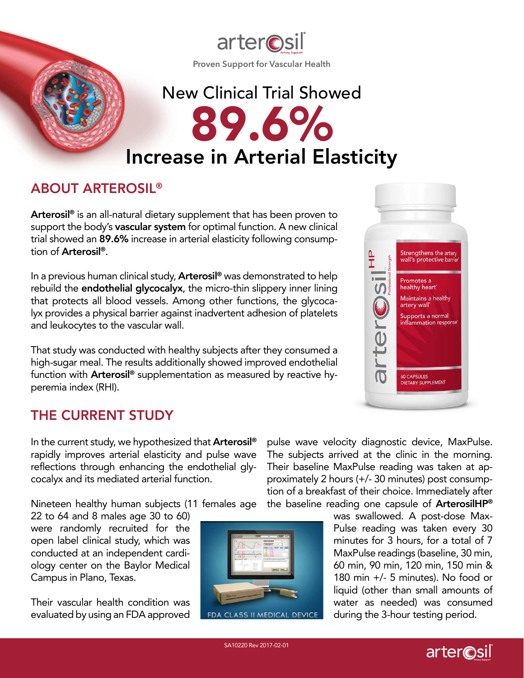

# New Clinical Trial Showed 89.6% Increase in Arterial Elasticity

## ABOUT ARTEROSIL®

Arterosil<sup>®</sup> is an all-natural dietary supplement that has been proven to support the body's vascular system for optimal function. A new clinical trial showed an 89.6% increase in arterial elasticity following consumption of Arterosil®.

In a previous human clinical study, **Arterosil<sup>®</sup>** was demonstrated to help rebuild the **endothelial glycocalyx**, the micro-thin slippery inner lining that protects all blood vessels. Among other functions, the glycocalyx provides a physical barrier against inadvertent adhesion of platelets and leukocytes to the vascular wall.

That study was conducted with healthy subjects after they consumed a high-sugar meal. The results additionally showed improved endothelial function with **Arterosil<sup>®</sup>** supplementation as measured by reactive hyperemia index (RHI).

# THE CURRENT STUDY

In the current study, we hypothesized that **Arterosil<sup>®</sup>** rapidly improves arterial elasticity and pulse wave reflections through enhancing the endothelial glycocalyx and its mediated arterial function.

Nineteen healthy human subjects (11 females age

22 to 64 and 8 males age 30 to 60) were randomly recruited for the open label clinical study, which was conducted at an independent cardiology center on the Baylor Medical Campus in Plano, Texas.

Their vascular health condition was evaluated by using an FDA approved





pulse wave velocity diagnostic device, MaxPulse. The subjects arrived at the clinic in the morning. Their baseline MaxPulse reading was taken at approximately 2 hours (+/- 30 minutes) post consumption of a breakfast of their choice. Immediately after the baseline reading one capsule of ArterosilHP®

> was swallowed. A post-dose Max-Pulse reading was taken every 30 minutes for 3 hours, for a total of 7 MaxPulse readings (baseline, 30 min, 60 min, 90 min, 120 min, 150 min & 180 min +/- 5 minutes). No food or liquid (other than small amounts of water as needed) was consumed during the 3-hour testing period.

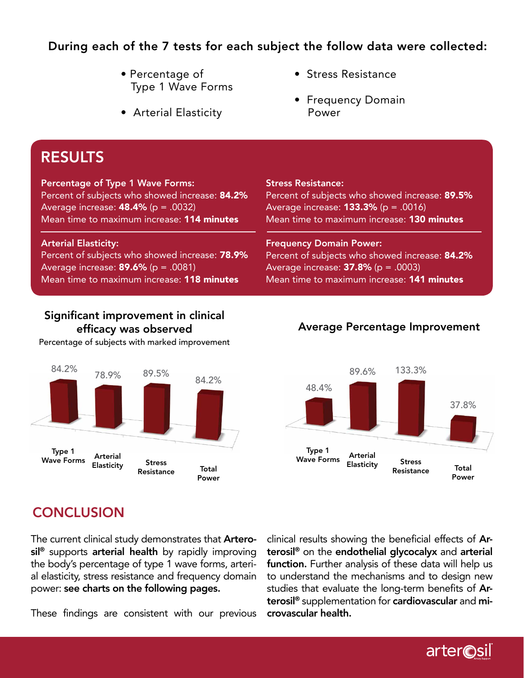## During each of the 7 tests for each subject the follow data were collected:

- Percentage of Type 1 Wave Forms
- Arterial Elasticity
- Stress Resistance
- Frequency Domain Power

# RESULTS

#### Percentage of Type 1 Wave Forms:

Percent of subjects who showed increase: 84.2% Average increase:  $48.4\%$  (p = .0032) Mean time to maximum increase: 114 minutes

#### Arterial Elasticity:

Percent of subjects who showed increase: 78.9% Average increase: **89.6%** ( $p = .0081$ ) Mean time to maximum increase: **118 minutes** 

## Significant improvement in clinical efficacy was observed

Percentage of subjects with marked improvement



Stress Resistance: Percent of subjects who showed increase: 89.5%

Average increase: **133.3%** ( $p = .0016$ ) Mean time to maximum increase: **130 minutes** 

Frequency Domain Power: Percent of subjects who showed increase: 84.2% Average increase:  $37.8\%$  (p = .0003) Mean time to maximum increase: **141 minutes** 

## Average Percentage Improvement



# **CONCLUSION**

The current clinical study demonstrates that **Artero**sil<sup>®</sup> supports arterial health by rapidly improving the body's percentage of type 1 wave forms, arterial elasticity, stress resistance and frequency domain power: see charts on the following pages.

These findings are consistent with our previous

clinical results showing the beneficial effects of Arterosil® on the endothelial glycocalyx and arterial function. Further analysis of these data will help us to understand the mechanisms and to design new studies that evaluate the long-term benefits of Arterosil<sup>®</sup> supplementation for cardiovascular and microvascular health.

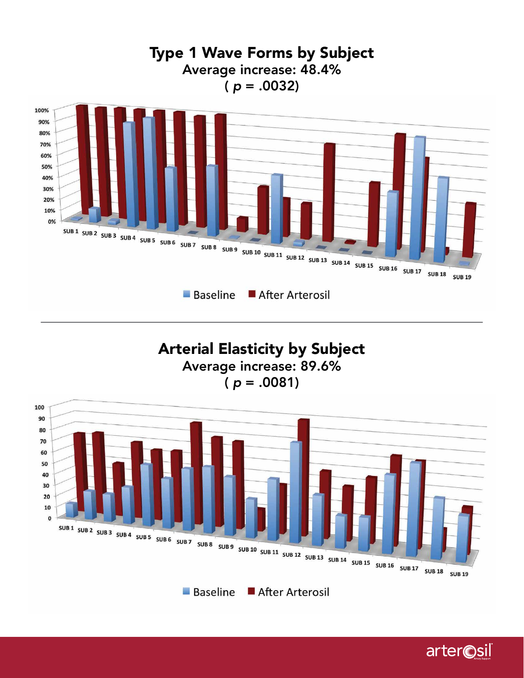

Arterial Elasticity by Subject Average increase: 89.6% ( *p* = .0081)



**Baseline** After Arterosil